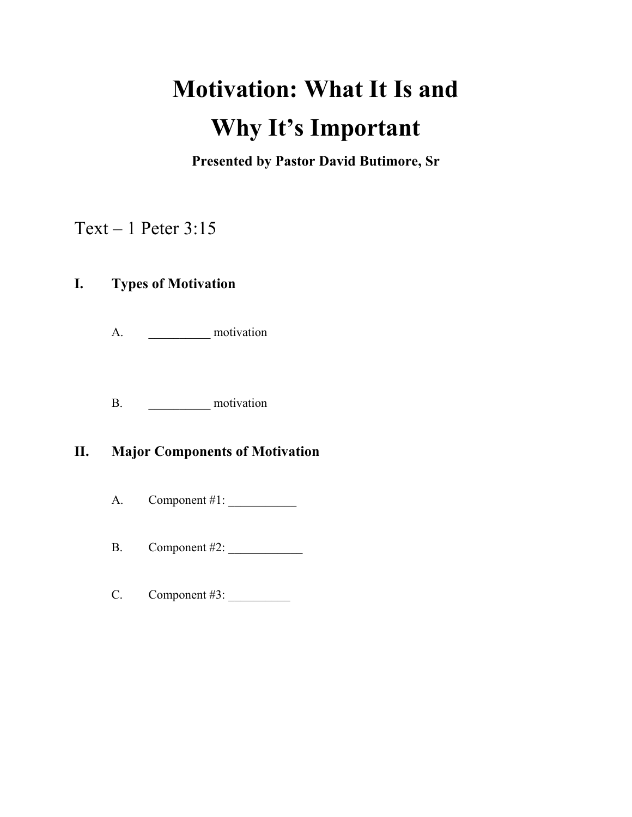# **Motivation: What It Is and Why It's Important**

**Presented by Pastor David Butimore, Sr**

## Text – 1 Peter 3:15

## **I. Types of Motivation**

A. \_\_\_\_\_\_\_\_\_\_ motivation

B. motivation

## **II. Major Components of Motivation**

A. Component #1: \_\_\_\_\_\_\_\_\_\_\_

B. Component #2: \_\_\_\_\_\_\_\_\_\_\_\_

C. Component #3: \_\_\_\_\_\_\_\_\_\_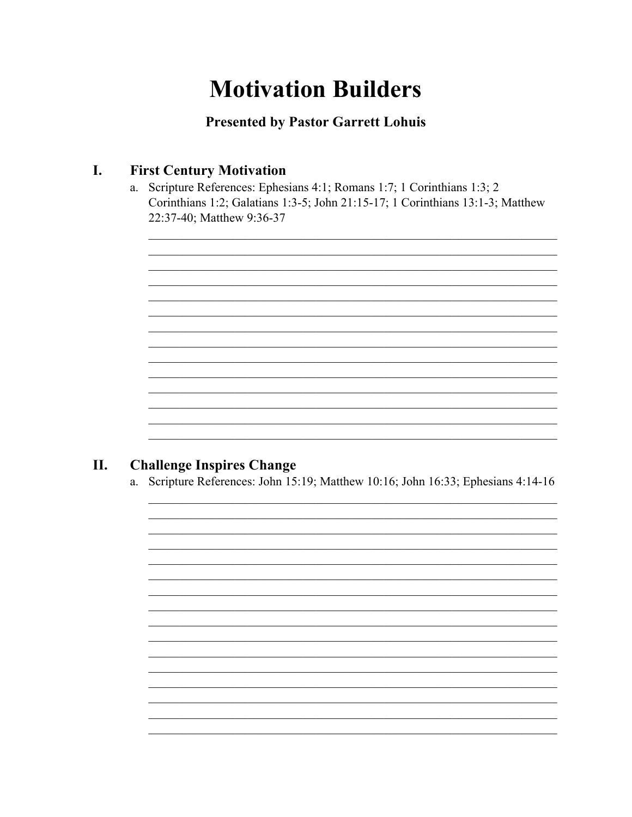# **Motivation Builders**

**Presented by Pastor Garrett Lohuis** 

#### **First Century Motivation** I.

Scripture References: Ephesians 4:1; Romans 1:7; 1 Corinthians 1:3; 2  $a.$ Corinthians 1:2; Galatians 1:3-5; John 21:15-17; 1 Corinthians 13:1-3; Matthew 22:37-40; Matthew 9:36-37

#### **Challenge Inspires Change** II.

Scripture References: John 15:19; Matthew 10:16; John 16:33; Ephesians 4:14-16 a.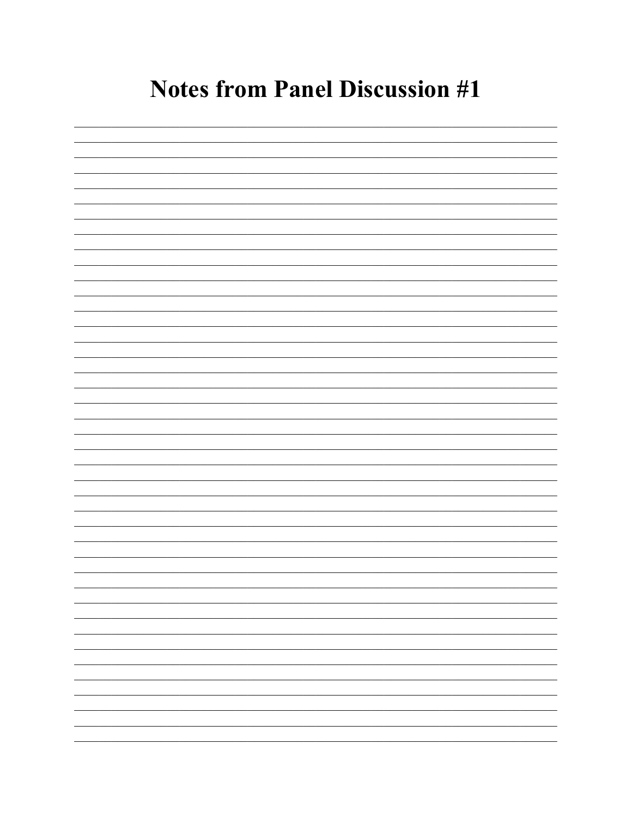# **Notes from Panel Discussion #1**

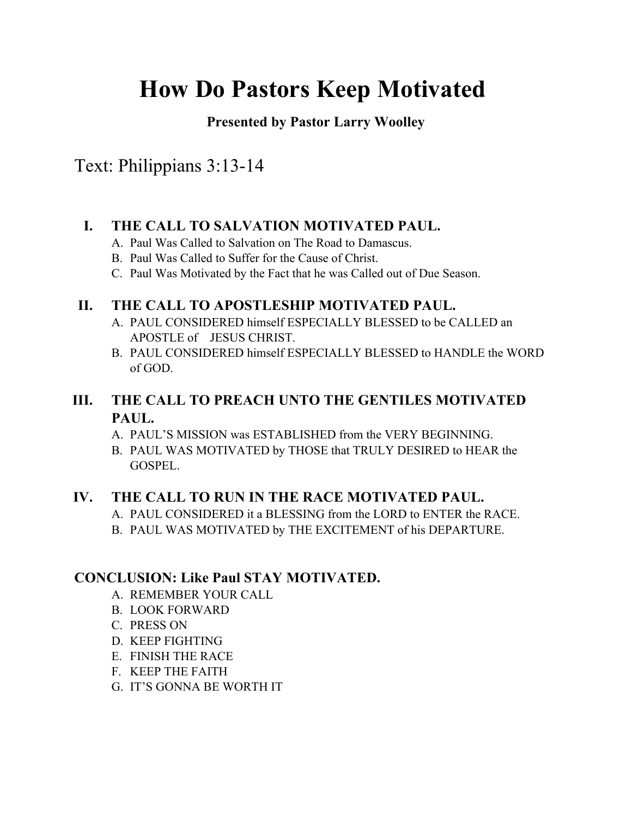# **How Do Pastors Keep Motivated**

**Presented by Pastor Larry Woolley**

Text: Philippians 3:13-14

### **I. THE CALL TO SALVATION MOTIVATED PAUL.**

- A. Paul Was Called to Salvation on The Road to Damascus.
- B. Paul Was Called to Suffer for the Cause of Christ.
- C. Paul Was Motivated by the Fact that he was Called out of Due Season.

### **II. THE CALL TO APOSTLESHIP MOTIVATED PAUL.**

- A. PAUL CONSIDERED himself ESPECIALLY BLESSED to be CALLED an APOSTLE of JESUS CHRIST.
- B. PAUL CONSIDERED himself ESPECIALLY BLESSED to HANDLE the WORD of GOD.

## **III. THE CALL TO PREACH UNTO THE GENTILES MOTIVATED PAUL.**

- A. PAUL'S MISSION was ESTABLISHED from the VERY BEGINNING.
- B. PAUL WAS MOTIVATED by THOSE that TRULY DESIRED to HEAR the GOSPEL.

### **IV. THE CALL TO RUN IN THE RACE MOTIVATED PAUL.**

- A. PAUL CONSIDERED it a BLESSING from the LORD to ENTER the RACE.
- B. PAUL WAS MOTIVATED by THE EXCITEMENT of his DEPARTURE.

## **CONCLUSION: Like Paul STAY MOTIVATED.**

- A. REMEMBER YOUR CALL
- B. LOOK FORWARD
- C. PRESS ON
- D. KEEP FIGHTING
- E. FINISH THE RACE
- F. KEEP THE FAITH
- G. IT'S GONNA BE WORTH IT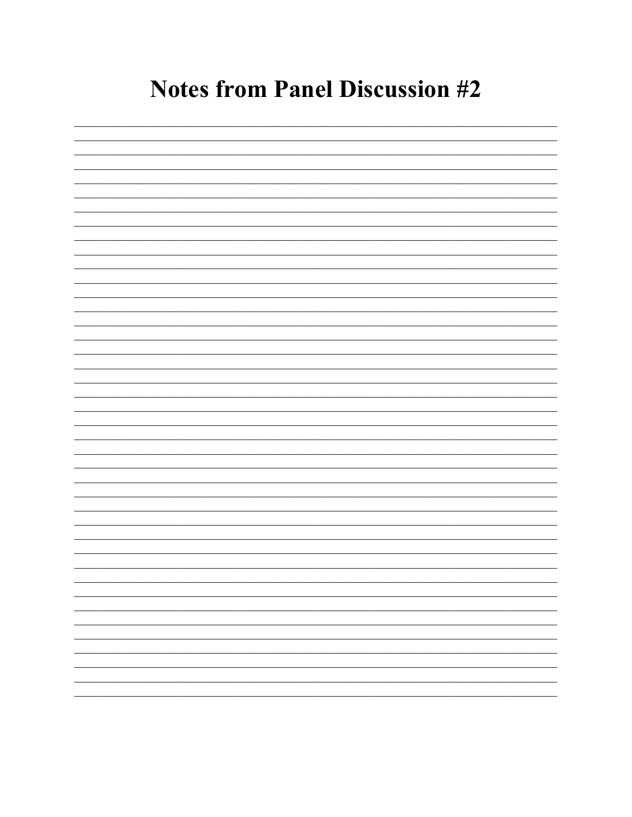# **Notes from Panel Discussion #2**

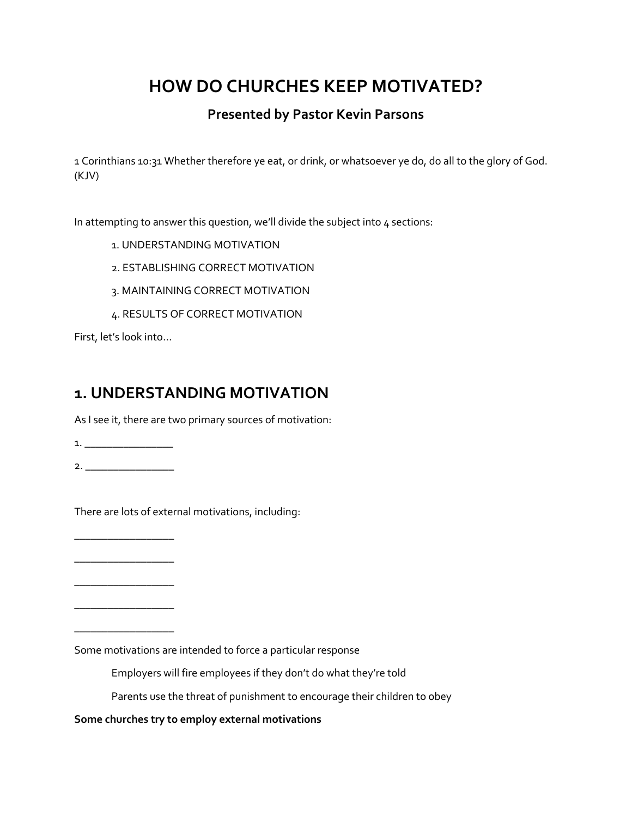## **HOW DO CHURCHES KEEP MOTIVATED?**

### **Presented by Pastor Kevin Parsons**

1 Corinthians 10:31 Whether therefore ye eat, or drink, or whatsoever ye do, do all to the glory of God. (KJV)

In attempting to answer this question, we'll divide the subject into 4 sections:

- 1. UNDERSTANDING MOTIVATION
- 2. ESTABLISHING CORRECT MOTIVATION
- 3. MAINTAINING CORRECT MOTIVATION
- 4. RESULTS OF CORRECT MOTIVATION

First, let's look into…

## **1. UNDERSTANDING MOTIVATION**

As I see it, there are two primary sources of motivation:

1. \_\_\_\_\_\_\_\_\_\_\_\_\_\_\_\_

2. \_\_\_\_\_\_\_\_\_\_\_\_\_\_\_\_

There are lots of external motivations, including:

\_\_\_\_\_\_\_\_\_\_\_\_\_\_\_\_\_\_ \_\_\_\_\_\_\_\_\_\_\_\_\_\_\_\_\_\_

\_\_\_\_\_\_\_\_\_\_\_\_\_\_\_\_\_\_

\_\_\_\_\_\_\_\_\_\_\_\_\_\_\_\_\_\_

\_\_\_\_\_\_\_\_\_\_\_\_\_\_\_\_\_\_

Some motivations are intended to force a particular response

Employers will fire employees if they don't do what they're told

Parents use the threat of punishment to encourage their children to obey

**Some churches try to employ external motivations**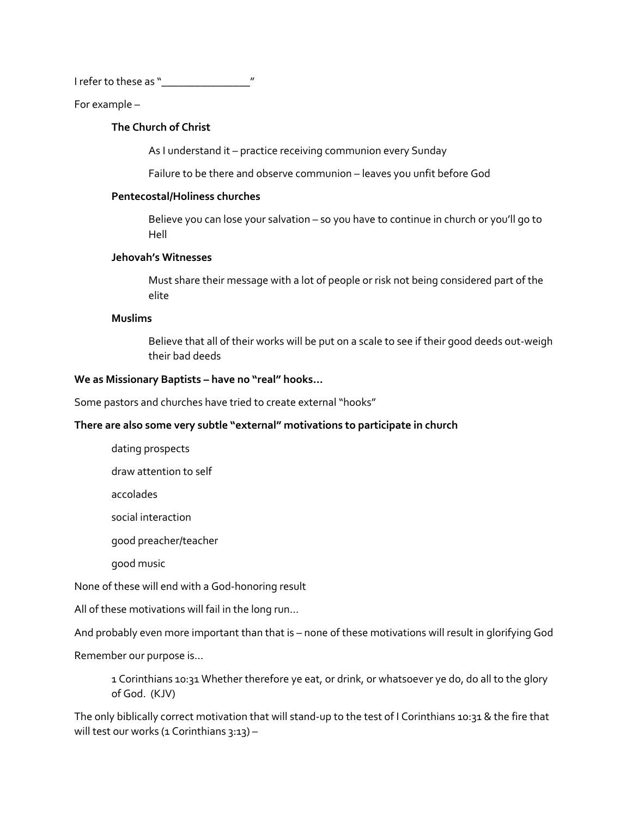I refer to these as "\_\_\_\_\_\_\_\_\_\_\_\_\_\_\_\_"

For example –

### **The Church of Christ**

As I understand it – practice receiving communion every Sunday

Failure to be there and observe communion – leaves you unfit before God

#### **Pentecostal/Holiness churches**

Believe you can lose your salvation – so you have to continue in church or you'll go to Hell

### **Jehovah's Witnesses**

Must share their message with a lot of people or risk not being considered part of the elite

### **Muslims**

Believe that all of their works will be put on a scale to see if their good deeds out-weigh their bad deeds

#### **We as Missionary Baptists – have no "real" hooks…**

Some pastors and churches have tried to create external "hooks"

### **There are also some very subtle "external" motivations to participate in church**

- dating prospects
- draw attention to self

accolades

social interaction

good preacher/teacher

good music

None of these will end with a God-honoring result

All of these motivations will fail in the long run…

And probably even more important than that is – none of these motivations will result in glorifying God

Remember our purpose is…

1 Corinthians 10:31 Whether therefore ye eat, or drink, or whatsoever ye do, do all to the glory of God. (KJV)

The only biblically correct motivation that will stand-up to the test of I Corinthians 10:31 & the fire that will test our works (1 Corinthians  $3:13$ ) –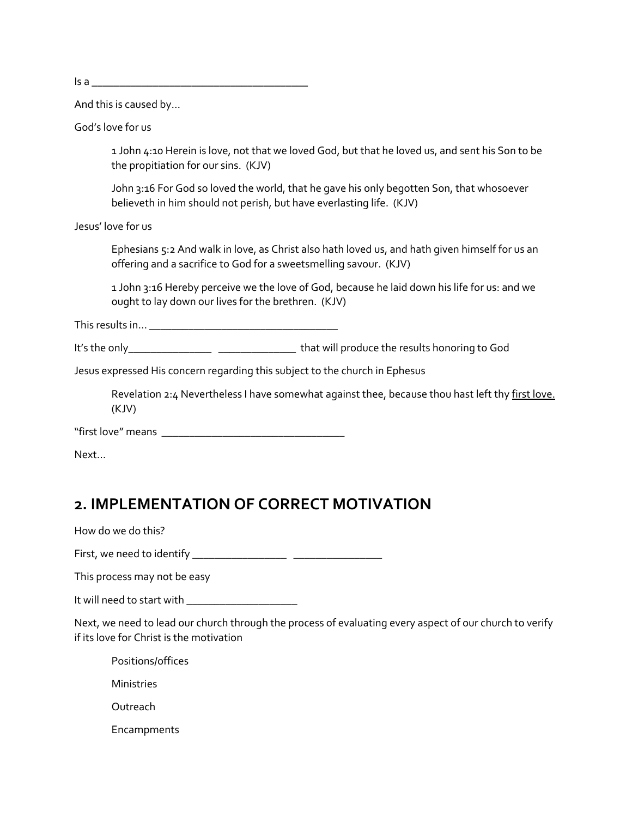$\overline{\mathsf{Is a}}$ 

And this is caused by…

God's love for us

1 John 4:10 Herein is love, not that we loved God, but that he loved us, and sent his Son to be the propitiation for our sins. (KJV)

John 3:16 For God so loved the world, that he gave his only begotten Son, that whosoever believeth in him should not perish, but have everlasting life. (KJV)

Jesus' love for us

Ephesians 5:2 And walk in love, as Christ also hath loved us, and hath given himself for us an offering and a sacrifice to God for a sweetsmelling savour. (KJV)

1 John 3:16 Hereby perceive we the love of God, because he laid down his life for us: and we ought to lay down our lives for the brethren. (KJV)

This results in… \_\_\_\_\_\_\_\_\_\_\_\_\_\_\_\_\_\_\_\_\_\_\_\_\_\_\_\_\_\_\_\_\_\_

It's the only\_\_\_\_\_\_\_\_\_\_\_\_\_\_\_ \_\_\_\_\_\_\_\_\_\_\_\_\_\_ that will produce the results honoring to God

Jesus expressed His concern regarding this subject to the church in Ephesus

Revelation 2:4 Nevertheless I have somewhat against thee, because thou hast left thy first love. (KJV)

"first love" means \_\_\_\_\_\_\_\_\_\_\_\_\_\_\_\_\_\_\_\_\_\_\_\_\_\_\_\_\_\_\_\_\_

Next…

## **2. IMPLEMENTATION OF CORRECT MOTIVATION**

How do we do this?

First, we need to identify \_\_\_\_\_\_\_\_\_\_\_\_\_\_\_\_\_ \_\_\_\_\_\_\_\_\_\_\_\_\_\_\_\_

This process may not be easy

It will need to start with \_\_\_\_\_\_\_\_\_\_\_\_\_\_\_\_\_\_\_\_

Next, we need to lead our church through the process of evaluating every aspect of our church to verify if its love for Christ is the motivation

Positions/offices

Ministries

Outreach

Encampments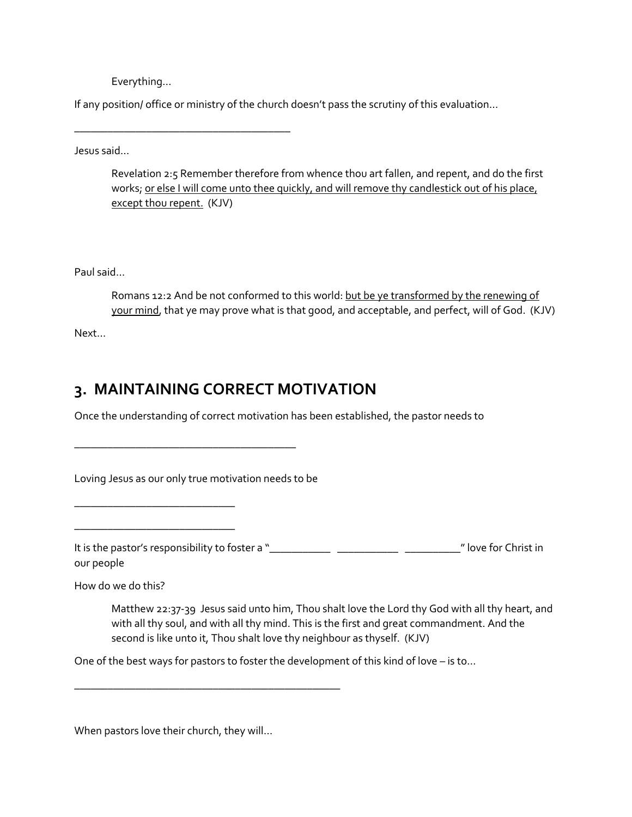Everything…

\_\_\_\_\_\_\_\_\_\_\_\_\_\_\_\_\_\_\_\_\_\_\_\_\_\_\_\_\_\_\_\_\_\_\_\_\_\_\_

If any position/ office or ministry of the church doesn't pass the scrutiny of this evaluation…

Jesus said…

Revelation 2:5 Remember therefore from whence thou art fallen, and repent, and do the first works; or else I will come unto thee quickly, and will remove thy candlestick out of his place, except thou repent. (KJV)

Paul said…

Romans 12:2 And be not conformed to this world: but be ye transformed by the renewing of your mind, that ye may prove what is that good, and acceptable, and perfect, will of God. (KJV)

Next…

## **3. MAINTAINING CORRECT MOTIVATION**

Once the understanding of correct motivation has been established, the pastor needs to

Loving Jesus as our only true motivation needs to be

\_\_\_\_\_\_\_\_\_\_\_\_\_\_\_\_\_\_\_\_\_\_\_\_\_\_\_\_\_\_\_\_\_\_\_\_\_\_\_\_

\_\_\_\_\_\_\_\_\_\_\_\_\_\_\_\_\_\_\_\_\_\_\_\_\_\_\_\_\_

\_\_\_\_\_\_\_\_\_\_\_\_\_\_\_\_\_\_\_\_\_\_\_\_\_\_\_\_\_

It is the pastor's responsibility to foster a "\_\_\_\_\_\_\_\_\_\_\_ \_\_\_\_\_\_\_\_\_\_\_ \_\_\_\_\_\_\_\_\_\_" love for Christ in our people

How do we do this?

Matthew 22:37-39 Jesus said unto him, Thou shalt love the Lord thy God with all thy heart, and with all thy soul, and with all thy mind. This is the first and great commandment. And the second is like unto it, Thou shalt love thy neighbour as thyself. (KJV)

One of the best ways for pastors to foster the development of this kind of love – is to…

When pastors love their church, they will…

\_\_\_\_\_\_\_\_\_\_\_\_\_\_\_\_\_\_\_\_\_\_\_\_\_\_\_\_\_\_\_\_\_\_\_\_\_\_\_\_\_\_\_\_\_\_\_\_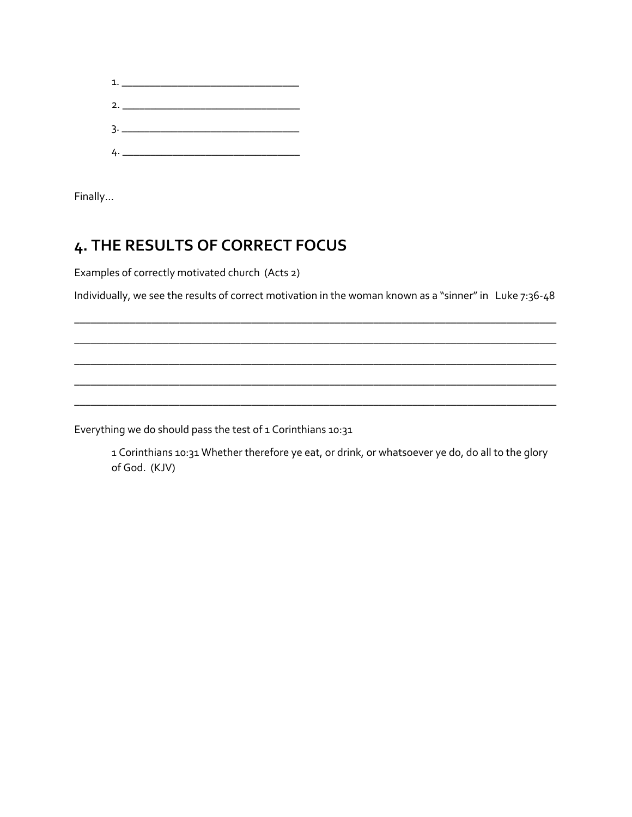

Finally…

## **4. THE RESULTS OF CORRECT FOCUS**

Examples of correctly motivated church (Acts 2)

Individually, we see the results of correct motivation in the woman known as a "sinner" in Luke 7:36-48

\_\_\_\_\_\_\_\_\_\_\_\_\_\_\_\_\_\_\_\_\_\_\_\_\_\_\_\_\_\_\_\_\_\_\_\_\_\_\_\_\_\_\_\_\_\_\_\_\_\_\_\_\_\_\_\_\_\_\_\_\_\_\_\_\_\_\_\_\_\_\_\_\_\_\_\_\_\_\_\_\_\_\_\_\_\_\_ \_\_\_\_\_\_\_\_\_\_\_\_\_\_\_\_\_\_\_\_\_\_\_\_\_\_\_\_\_\_\_\_\_\_\_\_\_\_\_\_\_\_\_\_\_\_\_\_\_\_\_\_\_\_\_\_\_\_\_\_\_\_\_\_\_\_\_\_\_\_\_\_\_\_\_\_\_\_\_\_\_\_\_\_\_\_\_ \_\_\_\_\_\_\_\_\_\_\_\_\_\_\_\_\_\_\_\_\_\_\_\_\_\_\_\_\_\_\_\_\_\_\_\_\_\_\_\_\_\_\_\_\_\_\_\_\_\_\_\_\_\_\_\_\_\_\_\_\_\_\_\_\_\_\_\_\_\_\_\_\_\_\_\_\_\_\_\_\_\_\_\_\_\_\_ \_\_\_\_\_\_\_\_\_\_\_\_\_\_\_\_\_\_\_\_\_\_\_\_\_\_\_\_\_\_\_\_\_\_\_\_\_\_\_\_\_\_\_\_\_\_\_\_\_\_\_\_\_\_\_\_\_\_\_\_\_\_\_\_\_\_\_\_\_\_\_\_\_\_\_\_\_\_\_\_\_\_\_\_\_\_\_ \_\_\_\_\_\_\_\_\_\_\_\_\_\_\_\_\_\_\_\_\_\_\_\_\_\_\_\_\_\_\_\_\_\_\_\_\_\_\_\_\_\_\_\_\_\_\_\_\_\_\_\_\_\_\_\_\_\_\_\_\_\_\_\_\_\_\_\_\_\_\_\_\_\_\_\_\_\_\_\_\_\_\_\_\_\_\_

Everything we do should pass the test of 1 Corinthians 10:31

1 Corinthians 10:31 Whether therefore ye eat, or drink, or whatsoever ye do, do all to the glory of God. (KJV)